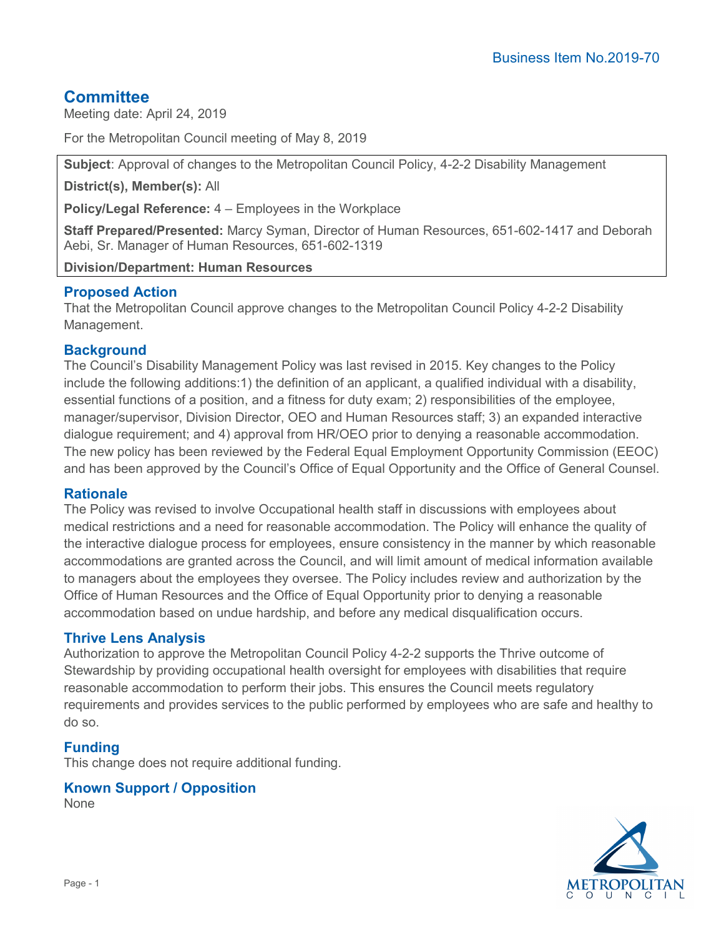# **Committee**

Meeting date: April 24, 2019

For the Metropolitan Council meeting of May 8, 2019

**Subject**: Approval of changes to the Metropolitan Council Policy, 4-2-2 Disability Management

**District(s), Member(s):** All

**Policy/Legal Reference:** 4 – Employees in the Workplace

**Staff Prepared/Presented:** Marcy Syman, Director of Human Resources, 651-602-1417 and Deborah Aebi, Sr. Manager of Human Resources, 651-602-1319

**Division/Department: Human Resources**

# **Proposed Action**

That the Metropolitan Council approve changes to the Metropolitan Council Policy 4-2-2 Disability Management.

# **Background**

The Council's Disability Management Policy was last revised in 2015. Key changes to the Policy include the following additions:1) the definition of an applicant, a qualified individual with a disability, essential functions of a position, and a fitness for duty exam; 2) responsibilities of the employee, manager/supervisor, Division Director, OEO and Human Resources staff; 3) an expanded interactive dialogue requirement; and 4) approval from HR/OEO prior to denying a reasonable accommodation. The new policy has been reviewed by the Federal Equal Employment Opportunity Commission (EEOC) and has been approved by the Council's Office of Equal Opportunity and the Office of General Counsel.

# **Rationale**

The Policy was revised to involve Occupational health staff in discussions with employees about medical restrictions and a need for reasonable accommodation. The Policy will enhance the quality of the interactive dialogue process for employees, ensure consistency in the manner by which reasonable accommodations are granted across the Council, and will limit amount of medical information available to managers about the employees they oversee. The Policy includes review and authorization by the Office of Human Resources and the Office of Equal Opportunity prior to denying a reasonable accommodation based on undue hardship, and before any medical disqualification occurs.

# **Thrive Lens Analysis**

Authorization to approve the Metropolitan Council Policy 4-2-2 supports the Thrive outcome of Stewardship by providing occupational health oversight for employees with disabilities that require reasonable accommodation to perform their jobs. This ensures the Council meets regulatory requirements and provides services to the public performed by employees who are safe and healthy to do so.

# **Funding**

This change does not require additional funding.

# **Known Support / Opposition**

None

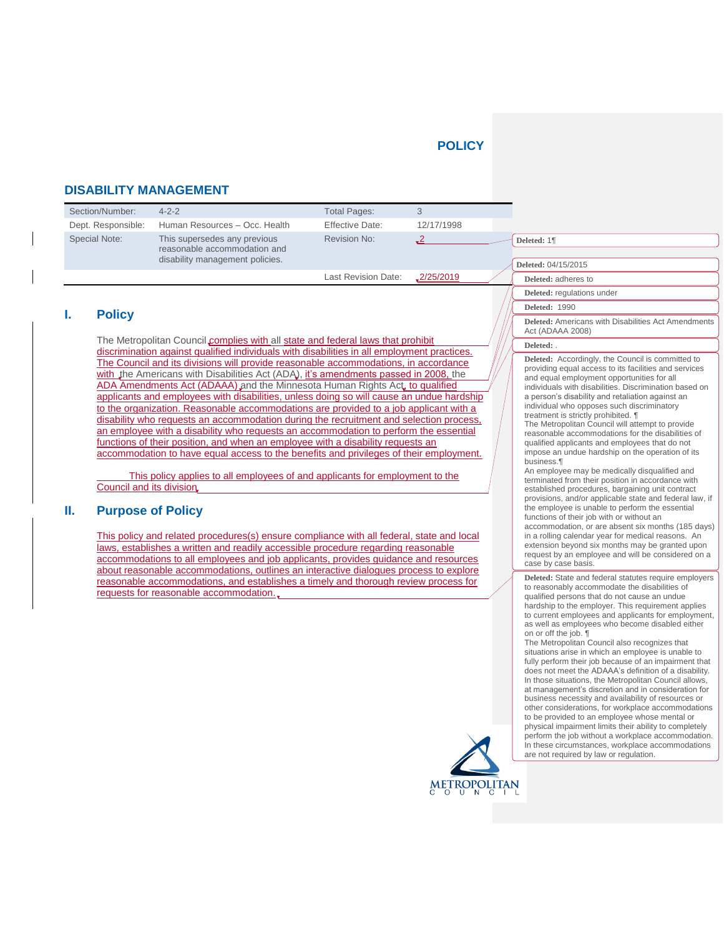## **POLICY**

## **DISABILITY MANAGEMENT**

| Section/Number:    | $4 - 2 - 2$                                                                                     | <b>Total Pages:</b>        |            |                                    |
|--------------------|-------------------------------------------------------------------------------------------------|----------------------------|------------|------------------------------------|
| Dept. Responsible: | Human Resources - Occ. Health                                                                   | <b>Effective Date:</b>     | 12/17/1998 |                                    |
| Special Note:      | This supersedes any previous<br>reasonable accommodation and<br>disability management policies. | Revision No:               |            | Deleted: 1¶<br>Deleted: 04/15/2015 |
|                    |                                                                                                 | <b>Last Revision Date:</b> | 2/25/2019  | Deleted: adheres to                |

## **I. Policy**

The Metropolitan Council complies with all state and federal laws that prohibit discrimination against qualified individuals with disabilities in all employment practices. The Council and its divisions will provide reasonable accommodations, in accordance with the Americans with Disabilities Act (ADA), it's amendments passed in 2008, the ADA Amendments Act (ADAAA) and the Minnesota Human Rights Act, to qualified applicants and employees with disabilities, unless doing so will cause an undue hardship to the organization. Reasonable accommodations are provided to a job applicant with a disability who requests an accommodation during the recruitment and selection process, an employee with a disability who requests an accommodation to perform the essential functions of their position, and when an employee with a disability requests an accommodation to have equal access to the benefits and privileges of their employment.

This policy applies to all employees of and applicants for employment to the Council and its division

### **II. Purpose of Policy**

This policy and related procedures(s) ensure compliance with all federal, state and local laws, establishes a written and readily accessible procedure regarding reasonable accommodations to all employees and job applicants, provides guidance and resources about reasonable accommodations, outlines an interactive dialogues process to explore reasonable accommodations, and establishes a timely and thorough review process for requests for reasonable accommodation.

### **Deleted:** . **Deleted:** Accordingly, the Council is committed to providing equal access to its facilities and services and equal employment opportunities for all

**Deleted:** regulations under

**Deleted:** 1990

Act (ADAAA 2008)

individuals with disabilities. Discrimination based on a person's disability and retaliation against an individual who opposes such discriminatory treatment is strictly prohibited. ¶

**Deleted:** Americans with Disabilities Act Amendments

The Metropolitan Council will attempt to provide reasonable accommodations for the disabilities of qualified applicants and employees that do not impose an undue hardship on the operation of its business.¶

An employee may be medically disqualified and terminated from their position in accordance with established procedures, bargaining unit contract provisions, and/or applicable state and federal law, if the employee is unable to perform the essential functions of their job with or without an accommodation, or are absent six months (185 days) in a rolling calendar year for medical reasons. An extension beyond six months may be granted upon request by an employee and will be considered on a case by case basis.

**Deleted:** State and federal statutes require employers to reasonably accommodate the disabilities of qualified persons that do not cause an undue hardship to the employer. This requirement applies to current employees and applicants for employment, as well as employees who become disabled either on or off the job. ¶

The Metropolitan Council also recognizes that situations arise in which an employee is unable to fully perform their job because of an impairment that does not meet the ADAAA's definition of a disability. In those situations, the Metropolitan Council allows, at management's discretion and in consideration for business necessity and availability of resources or other considerations, for workplace accommodations to be provided to an employee whose mental or physical impairment limits their ability to completely perform the job without a workplace accommodation. In these circumstances, workplace accommodations are not required by law or regulation.

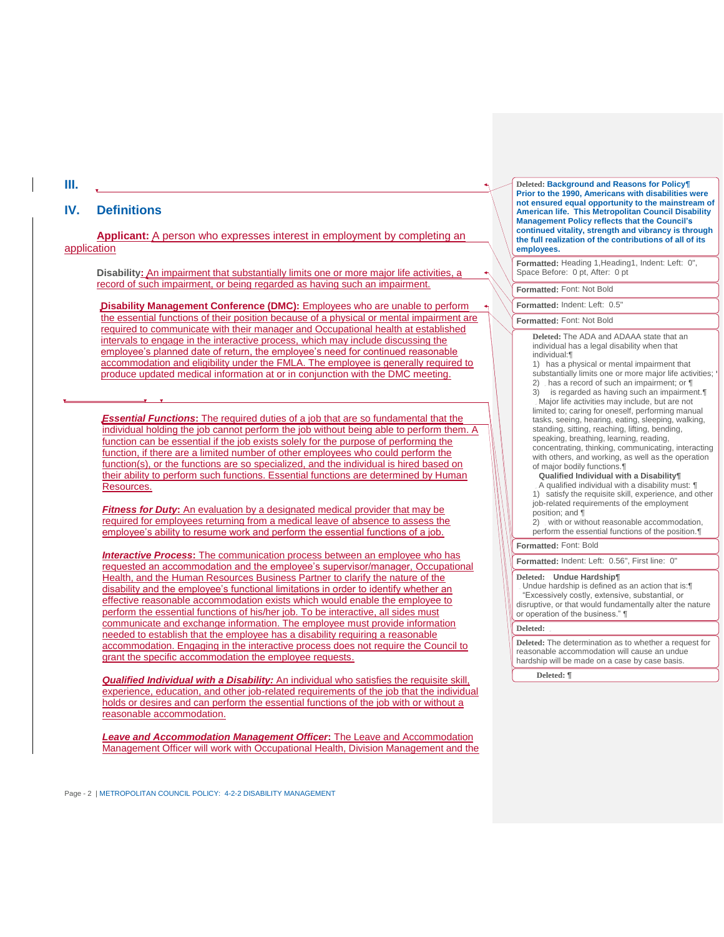### **IV. Definitions**

**Applicant:** A person who expresses interest in employment by completing an application

**Disability:** An impairment that substantially limits one or more major life activities, a record of such impairment, or being regarded as having such an impairment.

**Disability Management Conference (DMC):** Employees who are unable to perform the essential functions of their position because of a physical or mental impairment are required to communicate with their manager and Occupational health at established intervals to engage in the interactive process, which may include discussing the employee's planned date of return, the employee's need for continued reasonable accommodation and eligibility under the FMLA. The employee is generally required to produce updated medical information at or in conjunction with the DMC meeting.

*Essential Functions***:** The required duties of a job that are so fundamental that the individual holding the job cannot perform the job without being able to perform them. A function can be essential if the job exists solely for the purpose of performing the function, if there are a limited number of other employees who could perform the function(s), or the functions are so specialized, and the individual is hired based on their ability to perform such functions. Essential functions are determined by Human Resources.

*Fitness for Duty*: An evaluation by a designated medical provider that may be required for employees returning from a medical leave of absence to assess the employee's ability to resume work and perform the essential functions of a job.

*Interactive Process***:** The communication process between an employee who has requested an accommodation and the employee's supervisor/manager, Occupational Health, and the Human Resources Business Partner to clarify the nature of the disability and the employee's functional limitations in order to identify whether an effective reasonable accommodation exists which would enable the employee to perform the essential functions of his/her job. To be interactive, all sides must communicate and exchange information. The employee must provide information needed to establish that the employee has a disability requiring a reasonable accommodation. Engaging in the interactive process does not require the Council to grant the specific accommodation the employee requests.

*Qualified Individual with a Disability:* An individual who satisfies the requisite skill, experience, education, and other job-related requirements of the job that the individual holds or desires and can perform the essential functions of the job with or without a reasonable accommodation.

*Leave and Accommodation Management Officer***:** The Leave and Accommodation Management Officer will work with Occupational Health, Division Management and the

Page - 2 | METROPOLITAN COUNCIL POLICY: 4-2-2 DISABILITY MANAGEMENT

**Deleted: Background and Reasons for Policy¶ Prior to the 1990, Americans with disabilities were not ensured equal opportunity to the mainstream of American life. This Metropolitan Council Disability Management Policy reflects that the Council's continued vitality, strength and vibrancy is through the full realization of the contributions of all of its employees.**

**Formatted:** Heading 1,Heading1, Indent: Left: 0", Space Before: 0 pt, After: 0 pt

**Formatted:** Font: Not Bold

**Formatted:** Indent: Left: 0.5"

### **Formatted:** Font: Not Bold

**Deleted:** The ADA and ADAAA state that an individual has a legal disability when that individual:¶

1) has a physical or mental impairment that substantially limits one or more major life activities; 2) has a record of such an impairment; or ¶

3) is regarded as having such an impairment.¶ Major life activities may include, but are not limited to; caring for oneself, performing manual tasks, seeing, hearing, eating, sleeping, walking, standing, sitting, reaching, lifting, bending, speaking, breathing, learning, reading, concentrating, thinking, communicating, interacting with others, and working, as well as the operation of major bodily functions.¶

#### **Qualified Individual with a Disability¶**

A qualified individual with a disability must: ¶ 1) satisfy the requisite skill, experience, and other job-related requirements of the employment position; and ¶

2) with or without reasonable accommodation, perform the essential functions of the position.¶

## **Formatted:** Font: Bold

**Formatted:** Indent: Left: 0.56", First line: 0"

#### **Deleted: Undue Hardship¶**

Undue hardship is defined as an action that is:¶ "Excessively costly, extensive, substantial, or disruptive, or that would fundamentally alter the nature or operation of the business." ¶

### **Deleted:**

**Deleted:** The determination as to whether a request for reasonable accommodation will cause an undue hardship will be made on a case by case basis.

**Deleted: ¶**

**III.**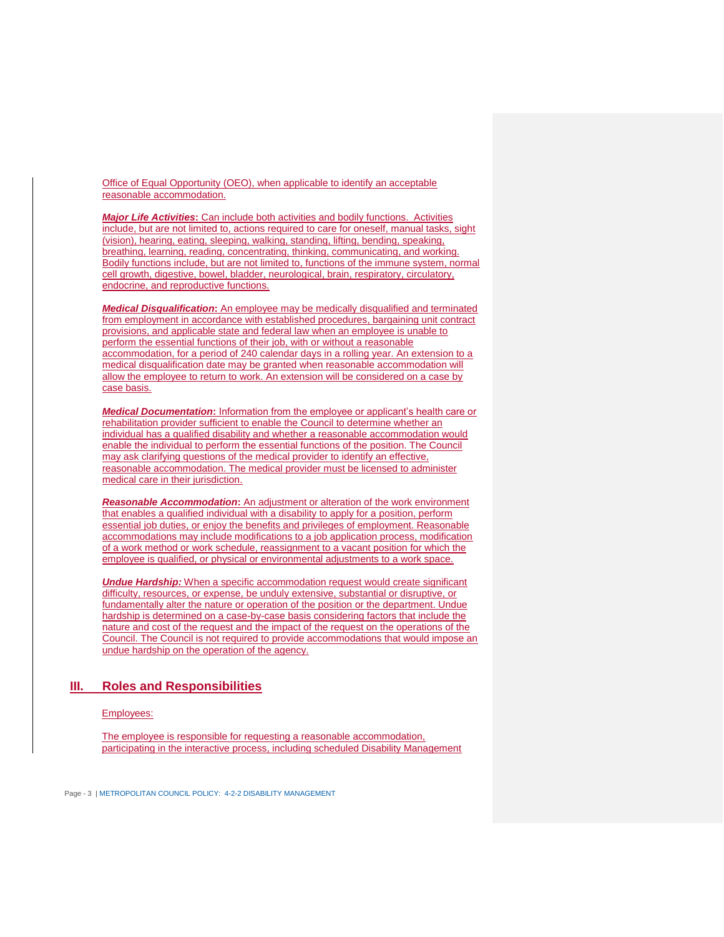Office of Equal Opportunity (OEO), when applicable to identify an acceptable reasonable accommodation.

*Major Life Activities***:** Can include both activities and bodily functions. Activities include, but are not limited to, actions required to care for oneself, manual tasks, sight (vision), hearing, eating, sleeping, walking, standing, lifting, bending, speaking, breathing, learning, reading, concentrating, thinking, communicating, and working. Bodily functions include, but are not limited to, functions of the immune system, normal cell growth, digestive, bowel, bladder, neurological, brain, respiratory, circulatory, endocrine, and reproductive functions.

*Medical Disqualification***:** An employee may be medically disqualified and terminated from employment in accordance with established procedures, bargaining unit contract provisions, and applicable state and federal law when an employee is unable to perform the essential functions of their job, with or without a reasonable accommodation, for a period of 240 calendar days in a rolling year. An extension to a medical disqualification date may be granted when reasonable accommodation will allow the employee to return to work. An extension will be considered on a case by case basis.

*Medical Documentation***:** Information from the employee or applicant's health care or rehabilitation provider sufficient to enable the Council to determine whether an individual has a qualified disability and whether a reasonable accommodation would enable the individual to perform the essential functions of the position. The Council may ask clarifying questions of the medical provider to identify an effective, reasonable accommodation. The medical provider must be licensed to administer medical care in their jurisdiction.

*Reasonable Accommodation***:** An adjustment or alteration of the work environment that enables a qualified individual with a disability to apply for a position, perform essential job duties, or enjoy the benefits and privileges of employment. Reasonable accommodations may include modifications to a job application process, modification of a work method or work schedule, reassignment to a vacant position for which the employee is qualified, or physical or environmental adjustments to a work space.

**Undue Hardship:** When a specific accommodation request would create significant difficulty, resources, or expense, be unduly extensive, substantial or disruptive, or fundamentally alter the nature or operation of the position or the department. Undue hardship is determined on a case-by-case basis considering factors that include the nature and cost of the request and the impact of the request on the operations of the Council. The Council is not required to provide accommodations that would impose an undue hardship on the operation of the agency.

## **III. Roles and Responsibilities**

#### Employees:

The employee is responsible for requesting a reasonable accommodation, participating in the interactive process, including scheduled Disability Management

Page - 3 | METROPOLITAN COUNCIL POLICY: 4-2-2 DISABILITY MANAGEMENT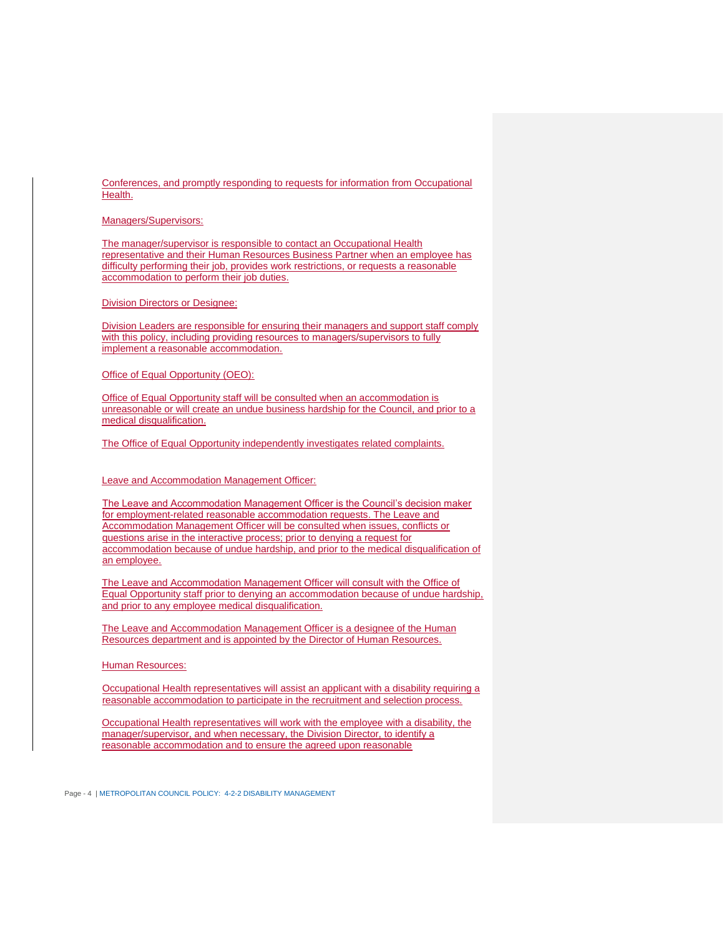Conferences, and promptly responding to requests for information from Occupational Health.

Managers/Supervisors:

The manager/supervisor is responsible to contact an Occupational Health representative and their Human Resources Business Partner when an employee has difficulty performing their job, provides work restrictions, or requests a reasonable accommodation to perform their job duties.

Division Directors or Designee:

Division Leaders are responsible for ensuring their managers and support staff comply with this policy, including providing resources to managers/supervisors to fully implement a reasonable accommodation.

Office of Equal Opportunity (OEO):

Office of Equal Opportunity staff will be consulted when an accommodation is unreasonable or will create an undue business hardship for the Council, and prior to a medical disqualification.

The Office of Equal Opportunity independently investigates related complaints.

Leave and Accommodation Management Officer:

The Leave and Accommodation Management Officer is the Council's decision maker for employment-related reasonable accommodation requests. The Leave and Accommodation Management Officer will be consulted when issues, conflicts or questions arise in the interactive process; prior to denying a request for accommodation because of undue hardship, and prior to the medical disqualification of an employee.

The Leave and Accommodation Management Officer will consult with the Office of Equal Opportunity staff prior to denying an accommodation because of undue hardship, and prior to any employee medical disqualification.

The Leave and Accommodation Management Officer is a designee of the Human Resources department and is appointed by the Director of Human Resources.

Human Resources:

Occupational Health representatives will assist an applicant with a disability requiring a reasonable accommodation to participate in the recruitment and selection process.

Occupational Health representatives will work with the employee with a disability, the manager/supervisor, and when necessary, the Division Director, to identify a reasonable accommodation and to ensure the agreed upon reasonable

Page - 4 | METROPOLITAN COUNCIL POLICY: 4-2-2 DISABILITY MANAGEMENT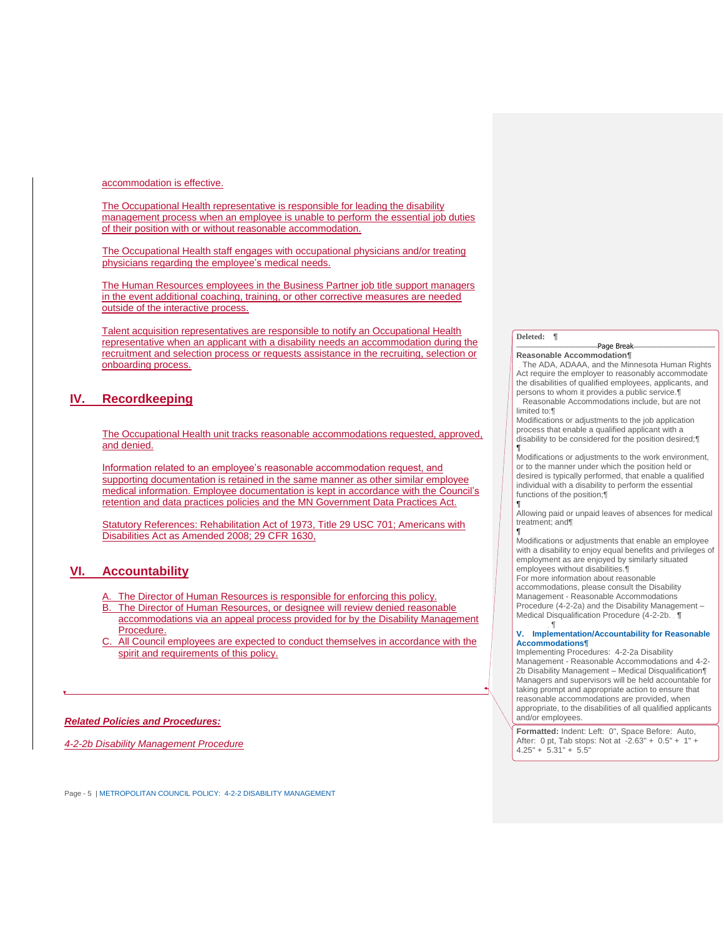accommodation is effective.

The Occupational Health representative is responsible for leading the disability management process when an employee is unable to perform the essential job duties of their position with or without reasonable accommodation.

The Occupational Health staff engages with occupational physicians and/or treating physicians regarding the employee's medical needs.

The Human Resources employees in the Business Partner job title support managers in the event additional coaching, training, or other corrective measures are needed outside of the interactive process.

Talent acquisition representatives are responsible to notify an Occupational Health representative when an applicant with a disability needs an accommodation during the recruitment and selection process or requests assistance in the recruiting, selection or onboarding process.

## **IV. Recordkeeping**

The Occupational Health unit tracks reasonable accommodations requested, approved, and denied.

Information related to an employee's reasonable accommodation request, and supporting documentation is retained in the same manner as other similar employee medical information. Employee documentation is kept in accordance with the Council's retention and data practices policies and the MN Government Data Practices Act.

Statutory References: Rehabilitation Act of 1973, Title 29 USC 701; Americans with Disabilities Act as Amended 2008; 29 CFR 1630,

## **VI. Accountability**

- The Director of Human Resources is responsible for enforcing this policy.
- B. The Director of Human Resources, or designee will review denied reasonable accommodations via an appeal process provided for by the Disability Management Procedure.
- All Council employees are expected to conduct themselves in accordance with the spirit and requirements of this policy.

### *Related Policies and Procedures:*

*4-2-2b Disability Management Procedure*

Page - 5 | METROPOLITAN COUNCIL POLICY: 4-2-2 DISABILITY MANAGEMENT

### **Deleted: ¶**

¶

#### Page Break **Reasonable Accommodation¶**

The ADA, ADAAA, and the Minnesota Human Rights Act require the employer to reasonably accommodate the disabilities of qualified employees, applicants, and persons to whom it provides a public service.¶

Reasonable Accommodations include, but are not limited to:¶

Modifications or adjustments to the job application process that enable a qualified applicant with a disability to be considered for the position desired;¶ ¶

Modifications or adjustments to the work environment, or to the manner under which the position held or desired is typically performed, that enable a qualified individual with a disability to perform the essential functions of the position;¶

Allowing paid or unpaid leaves of absences for medical treatment; and¶

¶ Modifications or adjustments that enable an employee with a disability to enjoy equal benefits and privileges of employment as are enjoyed by similarly situated employees without disabilities.¶

For more information about reasonable accommodations, please consult the Disability Management - Reasonable Accommodations

Procedure (4-2-2a) and the Disability Management – Medical Disqualification Procedure (4-2-2b. **¶**  $\mathbb{F}$ .

#### **V. Implementation/Accountability for Reasonable Accommodations¶**

Implementing Procedures: 4-2-2a Disability Management - Reasonable Accommodations and 4-2- 2b Disability Management – Medical Disqualification¶ Managers and supervisors will be held accountable for taking prompt and appropriate action to ensure that reasonable accommodations are provided, when appropriate, to the disabilities of all qualified applicants and/or employees.

**Formatted:** Indent: Left: 0", Space Before: Auto, After: 0 pt, Tab stops: Not at -2.63" + 0.5" + 1" +  $4.25" + 5.31" + 5.5"$